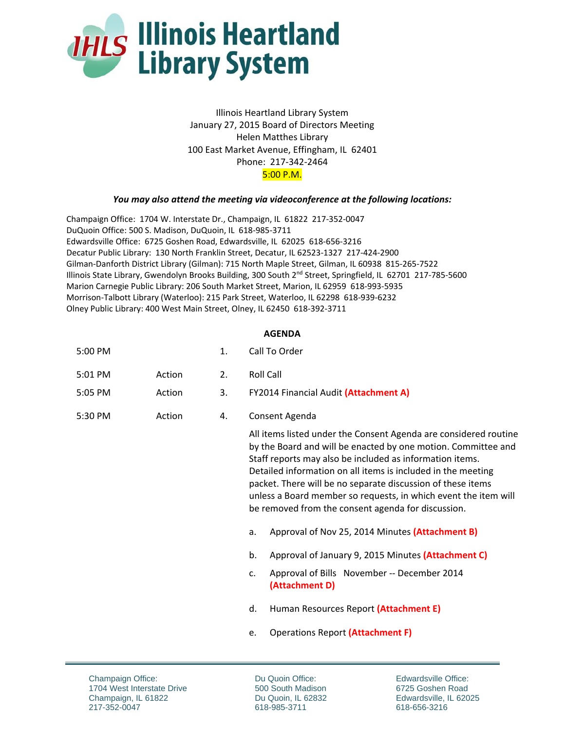

Illinois Heartland Library System January 27, 2015 Board of Directors Meeting Helen Matthes Library 100 East Market Avenue, Effingham, IL 62401 Phone: 217‐342‐2464 5:00 P.M.

## *You may also attend the meeting via videoconference at the following locations:*

Champaign Office: 1704 W. Interstate Dr., Champaign, IL 61822 217‐352‐0047 DuQuoin Office: 500 S. Madison, DuQuoin, IL 618‐985‐3711 Edwardsville Office: 6725 Goshen Road, Edwardsville, IL 62025 618‐656‐3216 Decatur Public Library: 130 North Franklin Street, Decatur, IL 62523‐1327 217‐424‐2900 Gilman‐Danforth District Library (Gilman): 715 North Maple Street, Gilman, IL 60938 815‐265‐7522 Illinois State Library, Gwendolyn Brooks Building, 300 South 2nd Street, Springfield, IL 62701 217‐785‐5600 Marion Carnegie Public Library: 206 South Market Street, Marion, IL 62959 618‐993‐5935 Morrison‐Talbott Library (Waterloo): 215 Park Street, Waterloo, IL 62298 618‐939‐6232 Olney Public Library: 400 West Main Street, Olney, IL 62450 618‐392‐3711

## **AGENDA**

| 5:00 PM |  | Call To Order |
|---------|--|---------------|
|---------|--|---------------|

| 5:01 PM<br>Action |  | <b>Roll Call</b> |
|-------------------|--|------------------|
|-------------------|--|------------------|

- 5:05 PM Action 3. FY2014 Financial Audit **(Attachment A)**
- 5:30 PM Action 4. Consent Agenda

All items listed under the Consent Agenda are considered routine by the Board and will be enacted by one motion. Committee and Staff reports may also be included as information items. Detailed information on all items is included in the meeting packet. There will be no separate discussion of these items unless a Board member so requests, in which event the item will be removed from the consent agenda for discussion.

- a. Approval of Nov 25, 2014 Minutes **(Attachment B)**
- b. Approval of January 9, 2015 Minutes **(Attachment C)**
- c. Approval of Bills November ‐‐ December 2014 **(Attachment D)**
- d. Human Resources Report **(Attachment E)**
- e. Operations Report **(Attachment F)**

Champaign Office: 1704 West Interstate Drive Champaign, IL 61822 217-352-0047

Du Quoin Office: 500 South Madison Du Quoin, IL 62832 618-985-3711

Edwardsville Office: 6725 Goshen Road Edwardsville, IL 62025 618-656-3216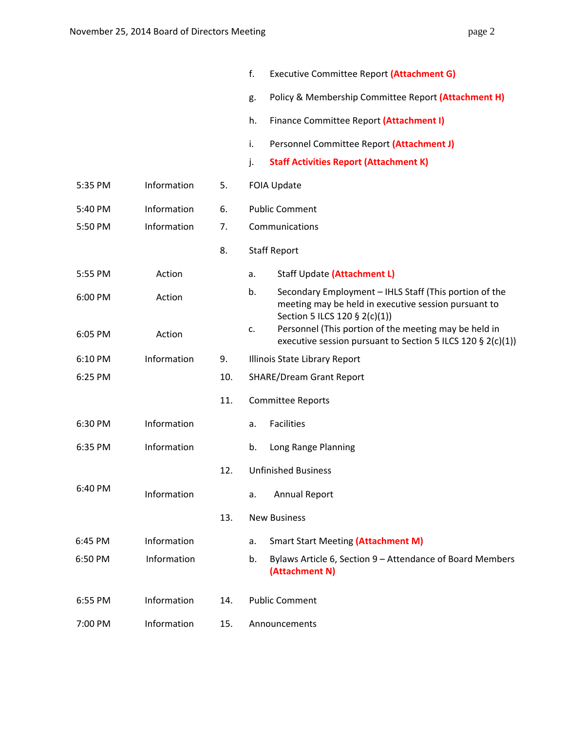|         |             |     | f.<br>Executive Committee Report (Attachment G)                                                                                                       |
|---------|-------------|-----|-------------------------------------------------------------------------------------------------------------------------------------------------------|
|         |             |     | Policy & Membership Committee Report (Attachment H)<br>g.                                                                                             |
|         |             |     | Finance Committee Report (Attachment I)<br>h.                                                                                                         |
|         |             |     | i.<br>Personnel Committee Report (Attachment J)                                                                                                       |
|         |             |     | j.<br><b>Staff Activities Report (Attachment K)</b>                                                                                                   |
| 5:35 PM | Information | 5.  | <b>FOIA Update</b>                                                                                                                                    |
| 5:40 PM | Information | 6.  | <b>Public Comment</b>                                                                                                                                 |
| 5:50 PM | Information | 7.  | Communications                                                                                                                                        |
|         |             | 8.  | <b>Staff Report</b>                                                                                                                                   |
| 5:55 PM | Action      |     | Staff Update (Attachment L)<br>a.                                                                                                                     |
| 6:00 PM | Action      |     | b.<br>Secondary Employment - IHLS Staff (This portion of the<br>meeting may be held in executive session pursuant to<br>Section 5 ILCS 120 § 2(c)(1)) |
| 6:05 PM | Action      |     | Personnel (This portion of the meeting may be held in<br>c.<br>executive session pursuant to Section 5 ILCS 120 § 2(c)(1))                            |
| 6:10 PM | Information | 9.  | Illinois State Library Report                                                                                                                         |
| 6:25 PM |             | 10. | <b>SHARE/Dream Grant Report</b>                                                                                                                       |
|         |             | 11. | <b>Committee Reports</b>                                                                                                                              |
| 6:30 PM | Information |     | <b>Facilities</b><br>a.                                                                                                                               |
| 6:35 PM | Information |     | b.<br>Long Range Planning                                                                                                                             |
|         |             | 12. | <b>Unfinished Business</b>                                                                                                                            |
| 6:40 PM | Information |     | <b>Annual Report</b><br>a.                                                                                                                            |
|         |             | 13. | <b>New Business</b>                                                                                                                                   |
| 6:45 PM | Information |     | <b>Smart Start Meeting (Attachment M)</b><br>a.                                                                                                       |
| 6:50 PM | Information |     | Bylaws Article 6, Section 9 - Attendance of Board Members<br>b.<br>(Attachment N)                                                                     |
| 6:55 PM | Information | 14. | <b>Public Comment</b>                                                                                                                                 |
| 7:00 PM | Information | 15. | Announcements                                                                                                                                         |